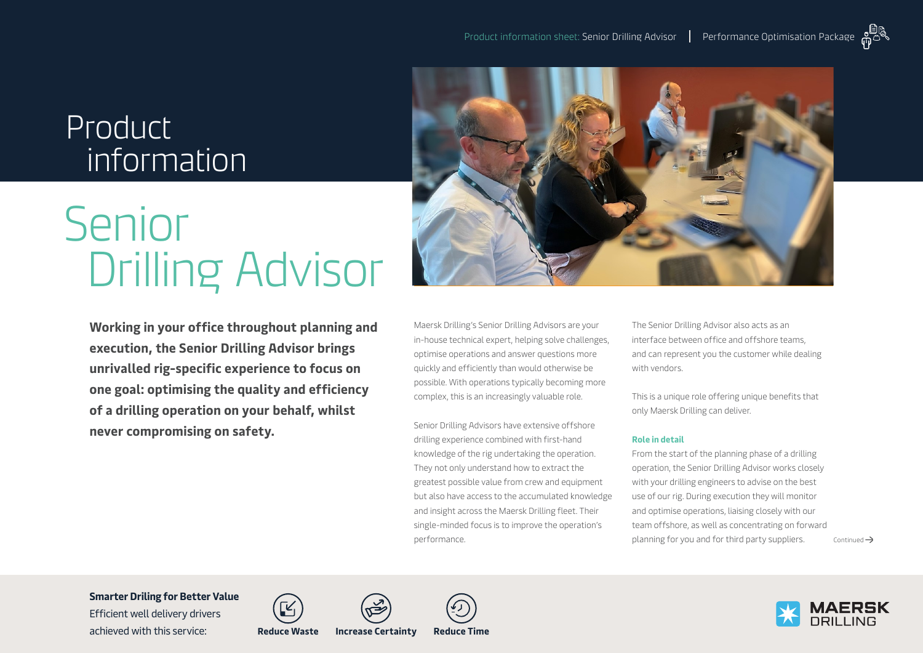## Product information

# Senior Drilling Advisor

**Working in your office throughout planning and execution, the Senior Drilling Advisor brings unrivalled rig-specific experience to focus on one goal: optimising the quality and efficiency of a drilling operation on your behalf, whilst never compromising on safety.**



Maersk Drilling's Senior Drilling Advisors are your in-house technical expert, helping solve challenges, optimise operations and answer questions more quickly and efficiently than would otherwise be possible. With operations typically becoming more complex, this is an increasingly valuable role.

Senior Drilling Advisors have extensive offshore drilling experience combined with first-hand knowledge of the rig undertaking the operation. They not only understand how to extract the greatest possible value from crew and equipment but also have access to the accumulated knowledge and insight across the Maersk Drilling fleet. Their single-minded focus is to improve the operation's performance.

The Senior Drilling Advisor also acts as an interface between office and offshore teams, and can represent you the customer while dealing with vendors.

This is a unique role offering unique benefits that only Maersk Drilling can deliver.

#### **Role in detail**

From the start of the planning phase of a drilling operation, the Senior Drilling Advisor works closely with your drilling engineers to advise on the best use of our rig. During execution they will monitor and optimise operations, liaising closely with our team offshore, as well as concentrating on forward planning for you and for third party suppliers.  $\Box$  Continued  $\rightarrow$ 

**Smarter Driling for Better Value** 

Efficient well delivery drivers achieved with this service: **Reduce Waste Increase Certainty Reduce Time**